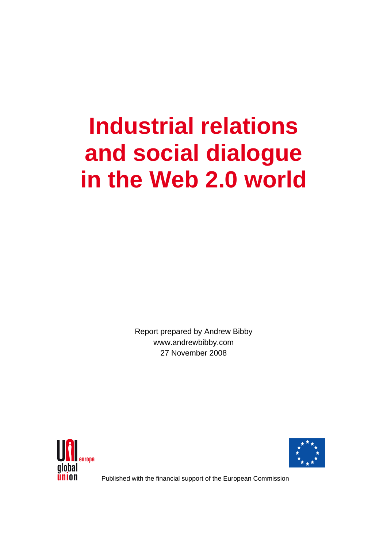# **Industrial relations and social dialogue in the Web 2.0 world**

Report prepared by Andrew Bibby www.andrewbibby.com 27 November 2008





Published with the financial support of the European Commission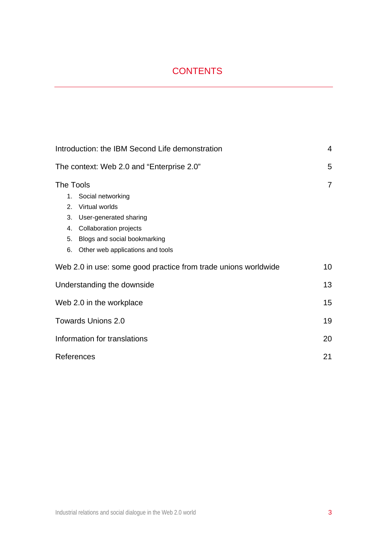# CONTENTS

| Introduction: the IBM Second Life demonstration                | 4               |
|----------------------------------------------------------------|-----------------|
| The context: Web 2.0 and "Enterprise 2.0"                      | 5               |
| The Tools                                                      | $\overline{7}$  |
| 1. Social networking                                           |                 |
| Virtual worlds<br>2.                                           |                 |
| User-generated sharing<br>3.                                   |                 |
| <b>Collaboration projects</b><br>4.                            |                 |
| 5.<br>Blogs and social bookmarking                             |                 |
| Other web applications and tools<br>6.                         |                 |
| Web 2.0 in use: some good practice from trade unions worldwide | 10 <sup>°</sup> |
| Understanding the downside                                     | 13              |
| Web 2.0 in the workplace                                       | 15 <sub>1</sub> |
| <b>Towards Unions 2.0</b>                                      | 19              |
| Information for translations                                   | 20              |
| References                                                     | 21              |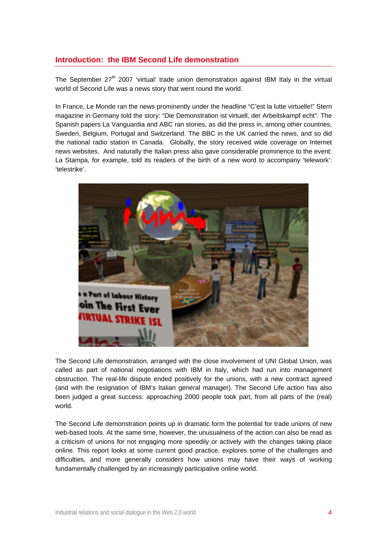# **Introduction: the IBM Second Life demonstration**

The September  $27<sup>th</sup>$  2007 'virtual' trade union demonstration against IBM Italy in the virtual world of Second Life was a news story that went round the world.

In France, Le Monde ran the news prominently under the headline "C'est la lutte virtuelle!" Stern magazine in Germany told the story: "Die Demonstration ist virtuell, der Arbeitskampf echt". The Spanish papers La Vanguardia and ABC ran stories, as did the press in, among other countries, Sweden, Belgium, Portugal and Switzerland. The BBC in the UK carried the news, and so did the national radio station in Canada. Globally, the story received wide coverage on Internet news websites. And naturally the Italian press also gave considerable prominence to the event: La Stampa, for example, told its readers of the birth of a new word to accompany 'telework': 'telestrike'.



The Second Life demonstration, arranged with the close involvement of UNI Global Union, was called as part of national negotiations with IBM in Italy, which had run into management obstruction. The real-life dispute ended positively for the unions, with a new contract agreed (and with the resignation of IBM's Italian general manager). The Second Life action has also been judged a great success: approaching 2000 people took part, from all parts of the (real) world.

The Second Life demonstration points up in dramatic form the potential for trade unions of new web-based tools. At the same time, however, the unusualness of the action can also be read as a criticism of unions for not engaging more speedily or actively with the changes taking place online. This report looks at some current good practice, explores some of the challenges and difficulties, and more generally considers how unions may have their ways of working fundamentally challenged by an increasingly participative online world.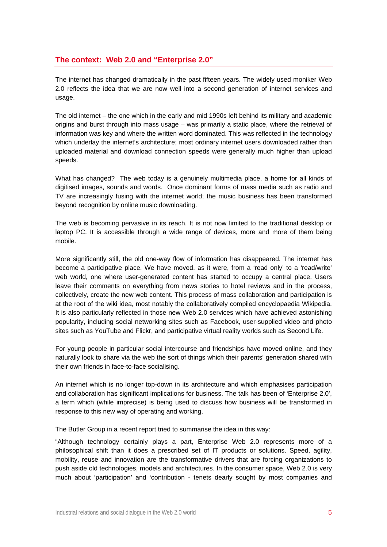## **The context: Web 2.0 and "Enterprise 2.0"**

The internet has changed dramatically in the past fifteen years. The widely used moniker Web 2.0 reflects the idea that we are now well into a second generation of internet services and usage.

The old internet – the one which in the early and mid 1990s left behind its military and academic origins and burst through into mass usage – was primarily a static place, where the retrieval of information was key and where the written word dominated. This was reflected in the technology which underlay the internet's architecture; most ordinary internet users downloaded rather than uploaded material and download connection speeds were generally much higher than upload speeds.

What has changed? The web today is a genuinely multimedia place, a home for all kinds of digitised images, sounds and words. Once dominant forms of mass media such as radio and TV are increasingly fusing with the internet world; the music business has been transformed beyond recognition by online music downloading.

The web is becoming pervasive in its reach. It is not now limited to the traditional desktop or laptop PC. It is accessible through a wide range of devices, more and more of them being mobile.

More significantly still, the old one-way flow of information has disappeared. The internet has become a participative place. We have moved, as it were, from a 'read only' to a 'read/write' web world, one where user-generated content has started to occupy a central place. Users leave their comments on everything from news stories to hotel reviews and in the process, collectively, create the new web content. This process of mass collaboration and participation is at the root of the wiki idea, most notably the collaboratively compiled encyclopaedia Wikipedia. It is also particularly reflected in those new Web 2.0 services which have achieved astonishing popularity, including social networking sites such as Facebook, user-supplied video and photo sites such as YouTube and Flickr, and participative virtual reality worlds such as Second Life.

For young people in particular social intercourse and friendships have moved online, and they naturally look to share via the web the sort of things which their parents' generation shared with their own friends in face-to-face socialising.

An internet which is no longer top-down in its architecture and which emphasises participation and collaboration has significant implications for business. The talk has been of 'Enterprise 2.0', a term which (while imprecise) is being used to discuss how business will be transformed in response to this new way of operating and working.

The Butler Group in a recent report tried to summarise the idea in this way:

"Although technology certainly plays a part, Enterprise Web 2.0 represents more of a philosophical shift than it does a prescribed set of IT products or solutions. Speed, agility, mobility, reuse and innovation are the transformative drivers that are forcing organizations to push aside old technologies, models and architectures. In the consumer space, Web 2.0 is very much about 'participation' and 'contribution - tenets dearly sought by most companies and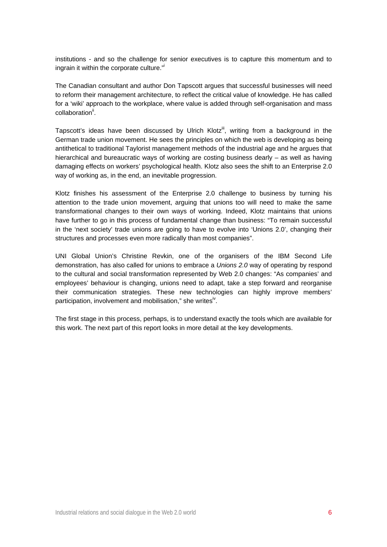institutions - and so the challenge for senior executives is to capture this momentum and to ingrain it within the corporate culture."

The Canadian consultant and author Don Tapscott argues that successful businesses will need to reform their management architecture, to reflect the critical value of knowledge. He has called for a 'wiki' approach to the workplace, where value is added through self-organisation and mass collaboration<sup>ii</sup>.

Tapscott's ideas have been discussed by Ulrich Klotz<sup>iii</sup>, writing from a background in the German trade union movement. He sees the principles on which the web is developing as being antithetical to traditional Taylorist management methods of the industrial age and he argues that hierarchical and bureaucratic ways of working are costing business dearly – as well as having damaging effects on workers' psychological health. Klotz also sees the shift to an Enterprise 2.0 way of working as, in the end, an inevitable progression.

Klotz finishes his assessment of the Enterprise 2.0 challenge to business by turning his attention to the trade union movement, arguing that unions too will need to make the same transformational changes to their own ways of working. Indeed, Klotz maintains that unions have further to go in this process of fundamental change than business: "To remain successful in the 'next society' trade unions are going to have to evolve into 'Unions 2.0', changing their structures and processes even more radically than most companies".

UNI Global Union's Christine Revkin, one of the organisers of the IBM Second Life demonstration, has also called for unions to embrace a *Unions 2.0* way of operating by respond to the cultural and social transformation represented by Web 2.0 changes: "As companies' and employees' behaviour is changing, unions need to adapt, take a step forward and reorganise their communication strategies. These new technologies can highly improve members' participation, involvement and mobilisation," she writes<sup>iv</sup>.

The first stage in this process, perhaps, is to understand exactly the tools which are available for this work. The next part of this report looks in more detail at the key developments.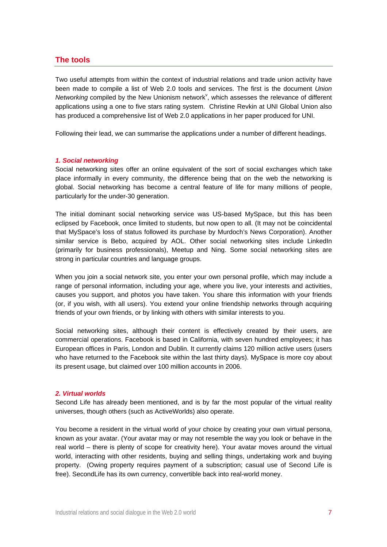## **The tools**

Two useful attempts from within the context of industrial relations and trade union activity have been made to compile a list of Web 2.0 tools and services. The first is the document *Union*  Networking compiled by the New Unionism network<sup>v</sup>, which assesses the relevance of different applications using a one to five stars rating system. Christine Revkin at UNI Global Union also has produced a comprehensive list of Web 2.0 applications in her paper produced for UNI.

Following their lead, we can summarise the applications under a number of different headings.

#### *1. Social networking*

Social networking sites offer an online equivalent of the sort of social exchanges which take place informally in every community, the difference being that on the web the networking is global. Social networking has become a central feature of life for many millions of people, particularly for the under-30 generation.

The initial dominant social networking service was US-based MySpace, but this has been eclipsed by Facebook, once limited to students, but now open to all. (It may not be coincidental that MySpace's loss of status followed its purchase by Murdoch's News Corporation). Another similar service is Bebo, acquired by AOL. Other social networking sites include LinkedIn (primarily for business professionals), Meetup and Ning. Some social networking sites are strong in particular countries and language groups.

When you join a social network site, you enter your own personal profile, which may include a range of personal information, including your age, where you live, your interests and activities, causes you support, and photos you have taken. You share this information with your friends (or, if you wish, with all users). You extend your online friendship networks through acquiring friends of your own friends, or by linking with others with similar interests to you.

Social networking sites, although their content is effectively created by their users, are commercial operations. Facebook is based in California, with seven hundred employees; it has European offices in Paris, London and Dublin. It currently claims 120 million active users (users who have returned to the Facebook site within the last thirty days). MySpace is more coy about its present usage, but claimed over 100 million accounts in 2006.

#### *2. Virtual worlds*

Second Life has already been mentioned, and is by far the most popular of the virtual reality universes, though others (such as ActiveWorlds) also operate.

You become a resident in the virtual world of your choice by creating your own virtual persona, known as your avatar. (Your avatar may or may not resemble the way you look or behave in the real world – there is plenty of scope for creativity here). Your avatar moves around the virtual world, interacting with other residents, buying and selling things, undertaking work and buying property. (Owing property requires payment of a subscription; casual use of Second Life is free). SecondLife has its own currency, convertible back into real-world money.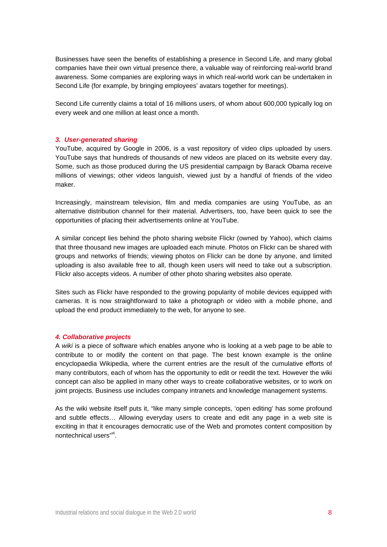Businesses have seen the benefits of establishing a presence in Second Life, and many global companies have their own virtual presence there, a valuable way of reinforcing real-world brand awareness. Some companies are exploring ways in which real-world work can be undertaken in Second Life (for example, by bringing employees' avatars together for meetings).

Second Life currently claims a total of 16 millions users, of whom about 600,000 typically log on every week and one million at least once a month.

#### *3. User-generated sharing*

YouTube, acquired by Google in 2006, is a vast repository of video clips uploaded by users. YouTube says that hundreds of thousands of new videos are placed on its website every day. Some, such as those produced during the US presidential campaign by Barack Obama receive millions of viewings; other videos languish, viewed just by a handful of friends of the video maker.

Increasingly, mainstream television, film and media companies are using YouTube, as an alternative distribution channel for their material. Advertisers, too, have been quick to see the opportunities of placing their advertisements online at YouTube.

A similar concept lies behind the photo sharing website Flickr (owned by Yahoo), which claims that three thousand new images are uploaded each minute. Photos on Flickr can be shared with groups and networks of friends; viewing photos on Flickr can be done by anyone, and limited uploading is also available free to all, though keen users will need to take out a subscription. Flickr also accepts videos. A number of other photo sharing websites also operate.

Sites such as Flickr have responded to the growing popularity of mobile devices equipped with cameras. It is now straightforward to take a photograph or video with a mobile phone, and upload the end product immediately to the web, for anyone to see.

#### *4. Collaborative projects*

A *wiki* is a piece of software which enables anyone who is looking at a web page to be able to contribute to or modify the content on that page. The best known example is the online encyclopaedia Wikipedia, where the current entries are the result of the cumulative efforts of many contributors, each of whom has the opportunity to edit or reedit the text. However the wiki concept can also be applied in many other ways to create collaborative websites, or to work on joint projects. Business use includes company intranets and knowledge management systems.

As the wiki website itself puts it, "like many simple concepts, 'open editing' has some profound and subtle effects… Allowing everyday users to create and edit any page in a web site is exciting in that it encourages democratic use of the Web and promotes content composition by nontechnical users"<sup>vi</sup>.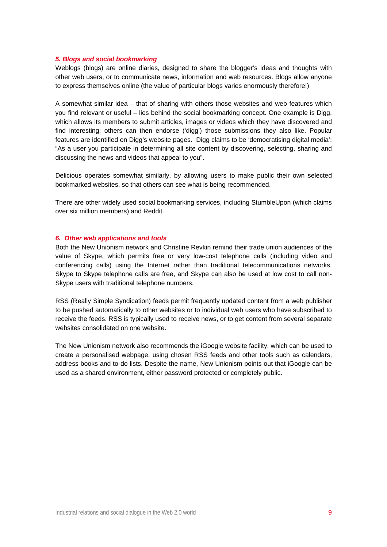#### *5. Blogs and social bookmarking*

Weblogs (blogs) are online diaries, designed to share the blogger's ideas and thoughts with other web users, or to communicate news, information and web resources. Blogs allow anyone to express themselves online (the value of particular blogs varies enormously therefore!)

A somewhat similar idea – that of sharing with others those websites and web features which you find relevant or useful – lies behind the social bookmarking concept. One example is Digg, which allows its members to submit articles, images or videos which they have discovered and find interesting; others can then endorse ('digg') those submissions they also like. Popular features are identified on Digg's website pages. Digg claims to be 'democratising digital media': "As a user you participate in determining all site content by discovering, selecting, sharing and discussing the news and videos that appeal to you".

Delicious operates somewhat similarly, by allowing users to make public their own selected bookmarked websites, so that others can see what is being recommended.

There are other widely used social bookmarking services, including StumbleUpon (which claims over six million members) and Reddit.

#### *6. Other web applications and tools*

Both the New Unionism network and Christine Revkin remind their trade union audiences of the value of Skype, which permits free or very low-cost telephone calls (including video and conferencing calls) using the Internet rather than traditional telecommunications networks. Skype to Skype telephone calls are free, and Skype can also be used at low cost to call non-Skype users with traditional telephone numbers.

RSS (Really Simple Syndication) feeds permit frequently updated content from a web publisher to be pushed automatically to other websites or to individual web users who have subscribed to receive the feeds. RSS is typically used to receive news, or to get content from several separate websites consolidated on one website.

The New Unionism network also recommends the iGoogle website facility, which can be used to create a personalised webpage, using chosen RSS feeds and other tools such as calendars, address books and to-do lists. Despite the name, New Unionism points out that iGoogle can be used as a shared environment, either password protected or completely public.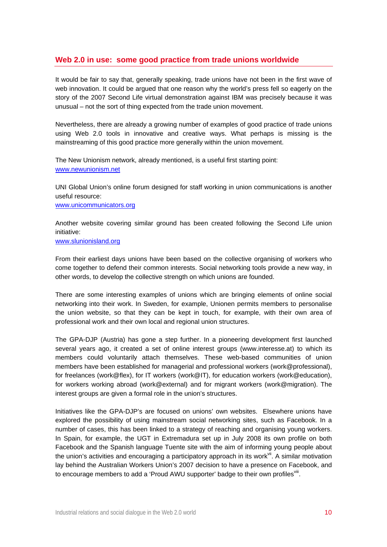# **Web 2.0 in use: some good practice from trade unions worldwide**

It would be fair to say that, generally speaking, trade unions have not been in the first wave of web innovation. It could be argued that one reason why the world's press fell so eagerly on the story of the 2007 Second Life virtual demonstration against IBM was precisely because it was unusual – not the sort of thing expected from the trade union movement.

Nevertheless, there are already a growing number of examples of good practice of trade unions using Web 2.0 tools in innovative and creative ways. What perhaps is missing is the mainstreaming of this good practice more generally within the union movement.

The New Unionism network, already mentioned, is a useful first starting point: www.newunionism.net

UNI Global Union's online forum designed for staff working in union communications is another useful resource:

www.unicommunicators.org

Another website covering similar ground has been created following the Second Life union initiative:

www.slunionisland.org

From their earliest days unions have been based on the collective organising of workers who come together to defend their common interests. Social networking tools provide a new way, in other words, to develop the collective strength on which unions are founded.

There are some interesting examples of unions which are bringing elements of online social networking into their work. In Sweden, for example, Unionen permits members to personalise the union website, so that they can be kept in touch, for example, with their own area of professional work and their own local and regional union structures.

The GPA-DJP (Austria) has gone a step further. In a pioneering development first launched several years ago, it created a set of online interest groups (www.interesse.at) to which its members could voluntarily attach themselves. These web-based communities of union members have been established for managerial and professional workers (work@professional), for freelances (work@flex), for IT workers (work@IT), for education workers (work@education), for workers working abroad (work@external) and for migrant workers (work@migration). The interest groups are given a formal role in the union's structures.

Initiatives like the GPA-DJP's are focused on unions' own websites. Elsewhere unions have explored the possibility of using mainstream social networking sites, such as Facebook. In a number of cases, this has been linked to a strategy of reaching and organising young workers. In Spain, for example, the UGT in Extremadura set up in July 2008 its own profile on both Facebook and the Spanish language Tuente site with the aim of informing young people about the union's activities and encouraging a participatory approach in its work<sup>vii</sup>. A similar motivation lay behind the Australian Workers Union's 2007 decision to have a presence on Facebook, and to encourage members to add a 'Proud AWU supporter' badge to their own profiles<sup>viii</sup>.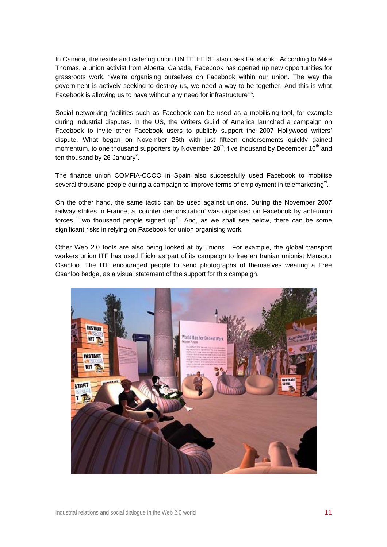In Canada, the textile and catering union UNITE HERE also uses Facebook. According to Mike Thomas, a union activist from Alberta, Canada, Facebook has opened up new opportunities for grassroots work. "We're organising ourselves on Facebook within our union. The way the government is actively seeking to destroy us, we need a way to be together. And this is what Facebook is allowing us to have without any need for infrastructure"<sup>ix</sup>.

Social networking facilities such as Facebook can be used as a mobilising tool, for example during industrial disputes. In the US, the Writers Guild of America launched a campaign on Facebook to invite other Facebook users to publicly support the 2007 Hollywood writers' dispute. What began on November 26th with just fifteen endorsements quickly gained momentum, to one thousand supporters by November  $28<sup>th</sup>$ , five thousand by December 16<sup>th</sup> and ten thousand by 26 January<sup>x</sup>.

The finance union COMFIA-CCOO in Spain also successfully used Facebook to mobilise several thousand people during a campaign to improve terms of employment in telemarketing<sup>xi</sup>.

On the other hand, the same tactic can be used against unions. During the November 2007 railway strikes in France, a 'counter demonstration' was organised on Facebook by anti-union forces. Two thousand people signed up $x$ <sup>ii</sup>. And, as we shall see below, there can be some significant risks in relying on Facebook for union organising work.

Other Web 2.0 tools are also being looked at by unions. For example, the global transport workers union ITF has used Flickr as part of its campaign to free an Iranian unionist Mansour Osanloo. The ITF encouraged people to send photographs of themselves wearing a Free Osanloo badge, as a visual statement of the support for this campaign.

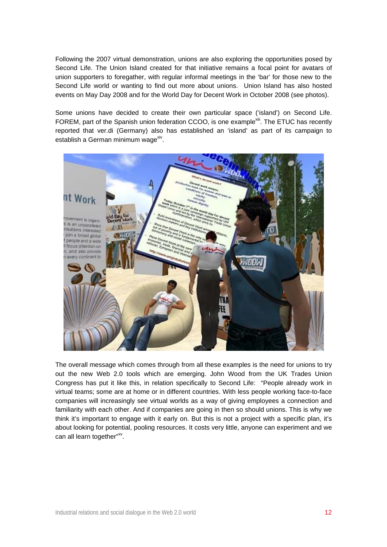Following the 2007 virtual demonstration, unions are also exploring the opportunities posed by Second Life. The Union Island created for that initiative remains a focal point for avatars of union supporters to foregather, with regular informal meetings in the 'bar' for those new to the Second Life world or wanting to find out more about unions. Union Island has also hosted events on May Day 2008 and for the World Day for Decent Work in October 2008 (see photos).

Some unions have decided to create their own particular space ('island') on Second Life. FOREM, part of the Spanish union federation CCOO, is one example<sup>xiii</sup>. The ETUC has recently reported that ver.di (Germany) also has established an 'island' as part of its campaign to establish a German minimum wage<sup>xiv</sup>.



The overall message which comes through from all these examples is the need for unions to try out the new Web 2.0 tools which are emerging. John Wood from the UK Trades Union Congress has put it like this, in relation specifically to Second Life: "People already work in virtual teams; some are at home or in different countries. With less people working face-to-face companies will increasingly see virtual worlds as a way of giving employees a connection and familiarity with each other. And if companies are going in then so should unions. This is why we think it's important to engage with it early on. But this is not a project with a specific plan, it's about looking for potential, pooling resources. It costs very little, anyone can experiment and we can all learn together"xv.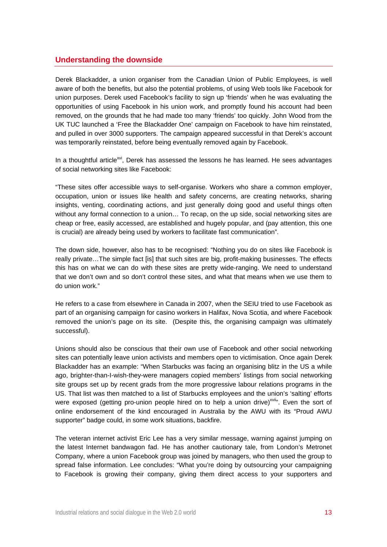# **Understanding the downside**

Derek Blackadder, a union organiser from the Canadian Union of Public Employees, is well aware of both the benefits, but also the potential problems, of using Web tools like Facebook for union purposes. Derek used Facebook's facility to sign up 'friends' when he was evaluating the opportunities of using Facebook in his union work, and promptly found his account had been removed, on the grounds that he had made too many 'friends' too quickly. John Wood from the UK TUC launched a 'Free the Blackadder One' campaign on Facebook to have him reinstated, and pulled in over 3000 supporters. The campaign appeared successful in that Derek's account was temporarily reinstated, before being eventually removed again by Facebook.

In a thoughtful article<sup>xvi</sup>, Derek has assessed the lessons he has learned. He sees advantages of social networking sites like Facebook:

"These sites offer accessible ways to self-organise. Workers who share a common employer, occupation, union or issues like health and safety concerns, are creating networks, sharing insights, venting, coordinating actions, and just generally doing good and useful things often without any formal connection to a union… To recap, on the up side, social networking sites are cheap or free, easily accessed, are established and hugely popular, and (pay attention, this one is crucial) are already being used by workers to facilitate fast communication".

The down side, however, also has to be recognised: "Nothing you do on sites like Facebook is really private…The simple fact [is] that such sites are big, profit-making businesses. The effects this has on what we can do with these sites are pretty wide-ranging. We need to understand that we don't own and so don't control these sites, and what that means when we use them to do union work."

He refers to a case from elsewhere in Canada in 2007, when the SEIU tried to use Facebook as part of an organising campaign for casino workers in Halifax, Nova Scotia, and where Facebook removed the union's page on its site. (Despite this, the organising campaign was ultimately successful).

Unions should also be conscious that their own use of Facebook and other social networking sites can potentially leave union activists and members open to victimisation. Once again Derek Blackadder has an example: "When Starbucks was facing an organising blitz in the US a while ago, brighter-than-I-wish-they-were managers copied members' listings from social networking site groups set up by recent grads from the more progressive labour relations programs in the US. That list was then matched to a list of Starbucks employees and the union's 'salting' efforts were exposed (getting pro-union people hired on to help a union drive)<sup>xvii</sup>". Even the sort of online endorsement of the kind encouraged in Australia by the AWU with its "Proud AWU supporter" badge could, in some work situations, backfire.

The veteran internet activist Eric Lee has a very similar message, warning against jumping on the latest Internet bandwagon fad. He has another cautionary tale, from London's Metronet Company, where a union Facebook group was joined by managers, who then used the group to spread false information. Lee concludes: "What you're doing by outsourcing your campaigning to Facebook is growing their company, giving them direct access to your supporters and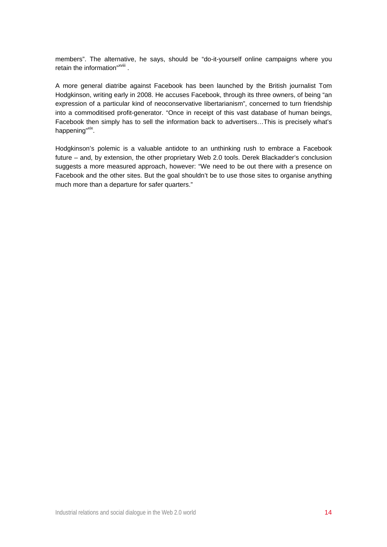members". The alternative, he says, should be "do-it-yourself online campaigns where you retain the information"<sup>xviii</sup>.

A more general diatribe against Facebook has been launched by the British journalist Tom Hodgkinson, writing early in 2008. He accuses Facebook, through its three owners, of being "an expression of a particular kind of neoconservative libertarianism", concerned to turn friendship into a commoditised profit-generator. "Once in receipt of this vast database of human beings, Facebook then simply has to sell the information back to advertisers…This is precisely what's happening"xix.

Hodgkinson's polemic is a valuable antidote to an unthinking rush to embrace a Facebook future – and, by extension, the other proprietary Web 2.0 tools. Derek Blackadder's conclusion suggests a more measured approach, however: "We need to be out there with a presence on Facebook and the other sites. But the goal shouldn't be to use those sites to organise anything much more than a departure for safer quarters."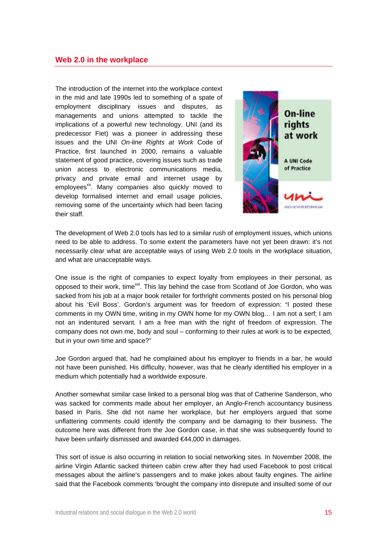The introduction of the internet into the workplace context in the mid and late 1990s led to something of a spate of employment disciplinary issues and disputes, as managements and unions attempted to tackle the implications of a powerful new technology. UNI (and its predecessor Fiet) was a pioneer in addressing these issues and the UNI *On-line Rights at Work* Code of Practice, first launched in 2000, remains a valuable statement of good practice, covering issues such as trade union access to electronic communications media, privacy and private email and internet usage by employees<sup>xx</sup>. Many companies also quickly moved to develop formalised internet and email usage policies, removing some of the uncertainty which had been facing their staff.



The development of Web 2.0 tools has led to a similar rush of employment issues, which unions need to be able to address. To some extent the parameters have not yet been drawn: it's not necessarily clear what are acceptable ways of using Web 2.0 tools in the workplace situation, and what are unacceptable ways.

One issue is the right of companies to expect loyalty from employees in their personal, as opposed to their work, time<sup>xxi</sup>. This lay behind the case from Scotland of Joe Gordon, who was sacked from his job at a major book retailer for forthright comments posted on his personal blog about his 'Evil Boss'. Gordon's argument was for freedom of expression: "I posted these comments in my OWN time, writing in my OWN home for my OWN blog… I am not a serf; I am not an indentured servant. I am a free man with the right of freedom of expression. The company does not own me, body and soul – conforming to their rules at work is to be expected, but in your own time and space?"

Joe Gordon argued that, had he complained about his employer to friends in a bar, he would not have been punished. His difficulty, however, was that he clearly identified his employer in a medium which potentially had a worldwide exposure.

Another somewhat similar case linked to a personal blog was that of Catherine Sanderson, who was sacked for comments made about her employer, an Anglo-French accountancy business based in Paris. She did not name her workplace, but her employers argued that some unflattering comments could identify the company and be damaging to their business. The outcome here was different from the Joe Gordon case, in that she was subsequently found to have been unfairly dismissed and awarded €44,000 in damages.

This sort of issue is also occurring in relation to social networking sites. In November 2008, the airline Virgin Atlantic sacked thirteen cabin crew after they had used Facebook to post critical messages about the airline's passengers and to make jokes about faulty engines. The airline said that the Facebook comments 'brought the company into disrepute and insulted some of our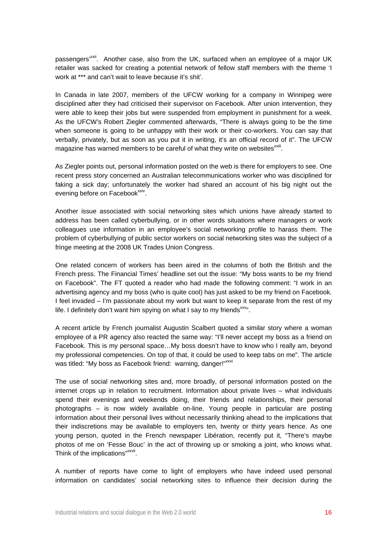passengers<sup>, xxii</sup>. Another case, also from the UK, surfaced when an employee of a major UK retailer was sacked for creating a potential network of fellow staff members with the theme 'I work at \*\*\* and can't wait to leave because it's shit'.

In Canada in late 2007, members of the UFCW working for a company in Winnipeg were disciplined after they had criticised their supervisor on Facebook. After union intervention, they were able to keep their jobs but were suspended from employment in punishment for a week. As the UFCW's Robert Ziegler commented afterwards, "There is always going to be the time when someone is going to be unhappy with their work or their co-workers. You can say that verbally, privately, but as soon as you put it in writing, it's an official record of it". The UFCW magazine has warned members to be careful of what they write on websites $^{xxiii}$ .

As Ziegler points out, personal information posted on the web is there for employers to see. One recent press story concerned an Australian telecommunications worker who was disciplined for faking a sick day; unfortunately the worker had shared an account of his big night out the evening before on Facebook<sup>xxiv</sup>.

Another issue associated with social networking sites which unions have already started to address has been called cyberbullying, or in other words situations where managers or work colleagues use information in an employee's social networking profile to harass them. The problem of cyberbullying of public sector workers on social networking sites was the subject of a fringe meeting at the 2008 UK Trades Union Congress.

One related concern of workers has been aired in the columns of both the British and the French press. The Financial Times' headline set out the issue: "My boss wants to be my friend on Facebook". The FT quoted a reader who had made the following comment: "I work in an advertising agency and my boss (who is quite cool) has just asked to be my friend on Facebook. I feel invaded – I'm passionate about my work but want to keep it separate from the rest of my life. I definitely don't want him spying on what I say to my friends $x_{xy}$ .

A recent article by French journalist Augustin Scalbert quoted a similar story where a woman employee of a PR agency also reacted the same way: "I'll never accept my boss as a friend on Facebook. This is my personal space…My boss doesn't have to know who I really am, beyond my professional competencies. On top of that, it could be used to keep tabs on me". The article was titled: "My boss as Facebook friend: warning, danger!" xxvi

The use of social networking sites and, more broadly, of personal information posted on the internet crops up in relation to recruitment. Information about private lives – what individuals spend their evenings and weekends doing, their friends and relationships, their personal photographs – is now widely available on-line. Young people in particular are posting information about their personal lives without necessarily thinking ahead to the implications that their indiscretions may be available to employers ten, twenty or thirty years hence. As one young person, quoted in the French newspaper Libération, recently put it, "There's maybe photos of me on 'Fesse Bouc' in the act of throwing up or smoking a joint, who knows what. Think of the implications" xxvii.

A number of reports have come to light of employers who have indeed used personal information on candidates' social networking sites to influence their decision during the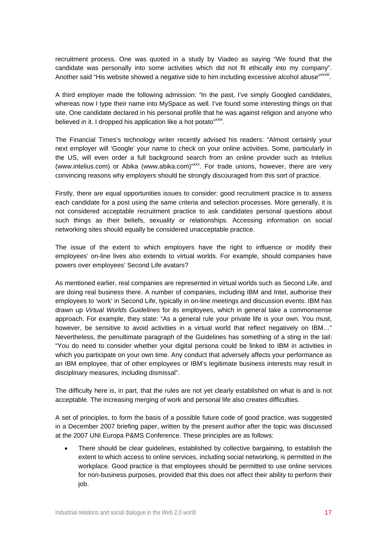recruitment process. One was quoted in a study by Viadeo as saying "We found that the candidate was personally into some activities which did not fit ethically into my company". Another said "His website showed a negative side to him including excessive alcohol abuse" xxviii.

A third employer made the following admission: "In the past, I've simply Googled candidates, whereas now I type their name into MySpace as well. I've found some interesting things on that site. One candidate declared in his personal profile that he was against religion and anyone who believed in it. I dropped his application like a hot potato"<sup>xxix</sup>.

The Financial Times's technology writer recently advised his readers: "Almost certainly your next employer will 'Google' your name to check on your online activities. Some, particularly in the US, will even order a full background search from an online provider such as Intelius (www.intelius.com) or Abika (www.abika.com)"xxx. For trade unions, however, there are very convincing reasons why employers should be strongly discouraged from this sort of practice.

Firstly, there are equal opportunities issues to consider: good recruitment practice is to assess each candidate for a post using the same criteria and selection processes. More generally, it is not considered acceptable recruitment practice to ask candidates personal questions about such things as their beliefs, sexuality or relationships. Accessing information on social networking sites should equally be considered unacceptable practice.

The issue of the extent to which employers have the right to influence or modify their employees' on-line lives also extends to virtual worlds. For example, should companies have powers over employees' Second Life avatars?

As mentioned earlier, real companies are represented in virtual worlds such as Second Life, and are doing real business there. A number of companies, including IBM and Intel, authorise their employees to 'work' in Second Life, typically in on-line meetings and discussion events. IBM has drawn up *Virtual Worlds Guidelines* for its employees, which in general take a commonsense approach. For example, they state: "As a general rule your private life is your own. You must, however, be sensitive to avoid activities in a virtual world that reflect negatively on IBM..." Nevertheless, the penultimate paragraph of the Guidelines has something of a sting in the tail: "You do need to consider whether your digital persona could be linked to IBM in activities in which you participate on your own time. Any conduct that adversely affects your performance as an IBM employee, that of other employees or IBM's legitimate business interests may result in disciplinary measures, including dismissal".

The difficulty here is, in part, that the rules are not yet clearly established on what is and is not acceptable. The increasing merging of work and personal life also creates difficulties.

A set of principles, to form the basis of a possible future code of good practice, was suggested in a December 2007 briefing paper, written by the present author after the topic was discussed at the 2007 UNI Europa P&MS Conference. These principles are as follows:

• There should be clear guidelines, established by collective bargaining, to establish the extent to which access to online services, including social networking, is permitted in the workplace. Good practice is that employees should be permitted to use online services for non-business purposes, provided that this does not affect their ability to perform their job.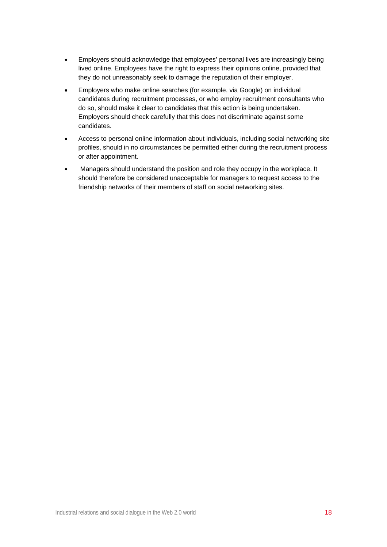- Employers should acknowledge that employees' personal lives are increasingly being lived online. Employees have the right to express their opinions online, provided that they do not unreasonably seek to damage the reputation of their employer.
- Employers who make online searches (for example, via Google) on individual candidates during recruitment processes, or who employ recruitment consultants who do so, should make it clear to candidates that this action is being undertaken. Employers should check carefully that this does not discriminate against some candidates.
- Access to personal online information about individuals, including social networking site profiles, should in no circumstances be permitted either during the recruitment process or after appointment.
- Managers should understand the position and role they occupy in the workplace. It should therefore be considered unacceptable for managers to request access to the friendship networks of their members of staff on social networking sites.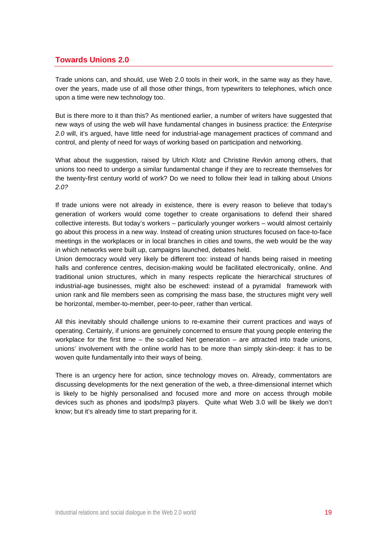# **Towards Unions 2.0**

Trade unions can, and should, use Web 2.0 tools in their work, in the same way as they have, over the years, made use of all those other things, from typewriters to telephones, which once upon a time were new technology too.

But is there more to it than this? As mentioned earlier, a number of writers have suggested that new ways of using the web will have fundamental changes in business practice: the *Enterprise 2.0* will, it's argued, have little need for industrial-age management practices of command and control, and plenty of need for ways of working based on participation and networking.

What about the suggestion, raised by Ulrich Klotz and Christine Revkin among others, that unions too need to undergo a similar fundamental change if they are to recreate themselves for the twenty-first century world of work? Do we need to follow their lead in talking about *Unions 2.0?* 

If trade unions were not already in existence, there is every reason to believe that today's generation of workers would come together to create organisations to defend their shared collective interests. But today's workers – particularly younger workers – would almost certainly go about this process in a new way. Instead of creating union structures focused on face-to-face meetings in the workplaces or in local branches in cities and towns, the web would be the way in which networks were built up, campaigns launched, debates held.

Union democracy would very likely be different too: instead of hands being raised in meeting halls and conference centres, decision-making would be facilitated electronically, online. And traditional union structures, which in many respects replicate the hierarchical structures of industrial-age businesses, might also be eschewed: instead of a pyramidal framework with union rank and file members seen as comprising the mass base, the structures might very well be horizontal, member-to-member, peer-to-peer, rather than vertical.

All this inevitably should challenge unions to re-examine their current practices and ways of operating. Certainly, if unions are genuinely concerned to ensure that young people entering the workplace for the first time  $-$  the so-called Net generation  $-$  are attracted into trade unions, unions' involvement with the online world has to be more than simply skin-deep: it has to be woven quite fundamentally into their ways of being.

There is an urgency here for action, since technology moves on. Already, commentators are discussing developments for the next generation of the web, a three-dimensional internet which is likely to be highly personalised and focused more and more on access through mobile devices such as phones and ipods/mp3 players. Quite what Web 3.0 will be likely we don't know; but it's already time to start preparing for it.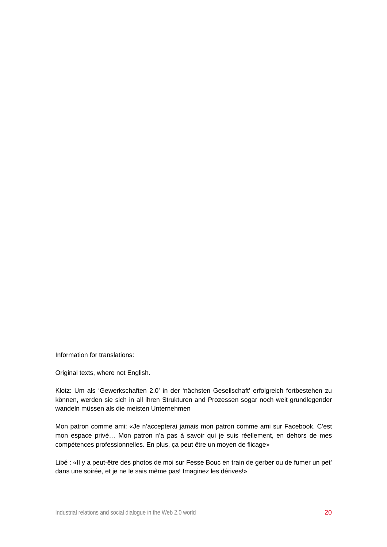Information for translations:

Original texts, where not English.

Klotz: Um als 'Gewerkschaften 2.0' in der 'nächsten Gesellschaft' erfolgreich fortbestehen zu können, werden sie sich in all ihren Strukturen and Prozessen sogar noch weit grundlegender wandeln müssen als die meisten Unternehmen

Mon patron comme ami: «Je n'accepterai jamais mon patron comme ami sur Facebook. C'est mon espace privé… Mon patron n'a pas à savoir qui je suis réellement, en dehors de mes compétences professionnelles. En plus, ça peut être un moyen de flicage»

Libé : «Il y a peut-être des photos de moi sur Fesse Bouc en train de gerber ou de fumer un pet' dans une soirée, et je ne le sais même pas! Imaginez les dérives!»